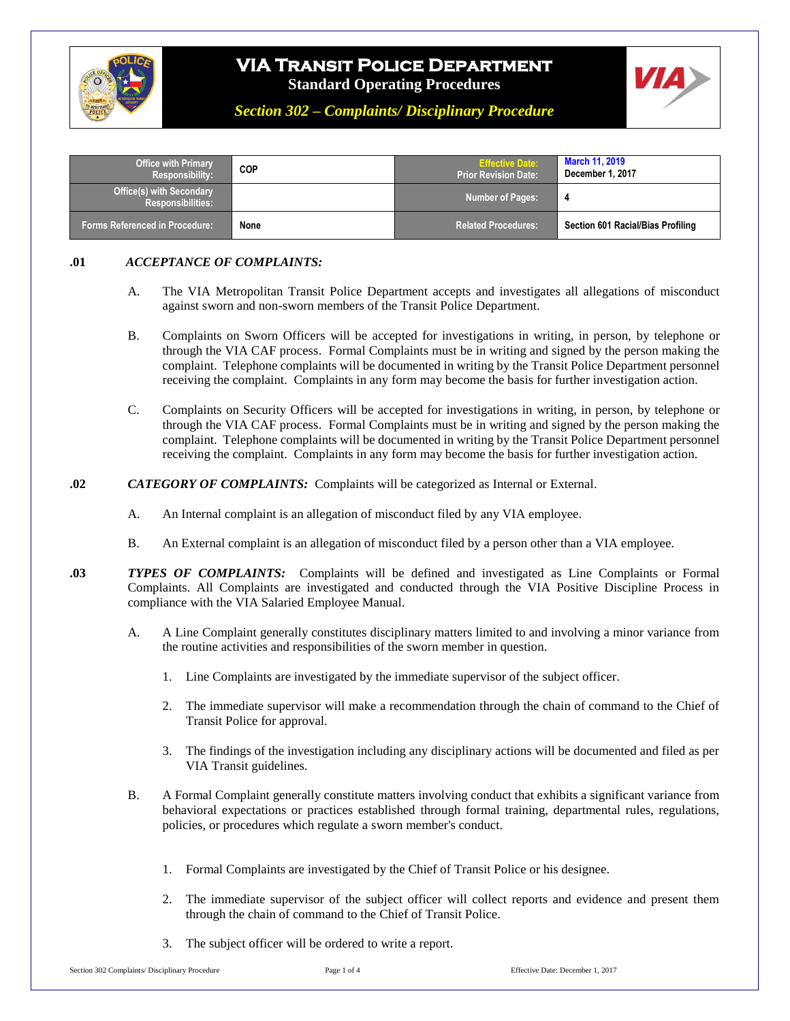

# **VIA Transit Police Department**

**Standard Operating Procedures**



*Section 302 – Complaints/ Disciplinary Procedure*

| <b>Office with Primary</b><br><b>Responsibility:</b>        | COP  | <b>Effective Date:</b><br><b>Prior Revision Date:</b> | <b>March 11, 2019</b><br>December 1, 2017 |
|-------------------------------------------------------------|------|-------------------------------------------------------|-------------------------------------------|
| <b>Office(s) with Secondary</b><br><b>Responsibilities:</b> |      | Number of Pages:                                      | -4                                        |
| Forms Referenced in Procedure: ˈ                            | None | <b>Related Procedures:</b>                            | Section 601 Racial/Bias Profiling         |

## **.01** *ACCEPTANCE OF COMPLAINTS:*

- A. The VIA Metropolitan Transit Police Department accepts and investigates all allegations of misconduct against sworn and non-sworn members of the Transit Police Department.
- B. Complaints on Sworn Officers will be accepted for investigations in writing, in person, by telephone or through the VIA CAF process. Formal Complaints must be in writing and signed by the person making the complaint. Telephone complaints will be documented in writing by the Transit Police Department personnel receiving the complaint. Complaints in any form may become the basis for further investigation action.
- C. Complaints on Security Officers will be accepted for investigations in writing, in person, by telephone or through the VIA CAF process. Formal Complaints must be in writing and signed by the person making the complaint. Telephone complaints will be documented in writing by the Transit Police Department personnel receiving the complaint. Complaints in any form may become the basis for further investigation action.
- **.02** *CATEGORY OF COMPLAINTS:* Complaints will be categorized as Internal or External.
	- A. An Internal complaint is an allegation of misconduct filed by any VIA employee.
	- B. An External complaint is an allegation of misconduct filed by a person other than a VIA employee.
- **.03** *TYPES OF COMPLAINTS:*Complaints will be defined and investigated as Line Complaints or Formal Complaints. All Complaints are investigated and conducted through the VIA Positive Discipline Process in compliance with the VIA Salaried Employee Manual.
	- A. A Line Complaint generally constitutes disciplinary matters limited to and involving a minor variance from the routine activities and responsibilities of the sworn member in question.
		- 1. Line Complaints are investigated by the immediate supervisor of the subject officer.
		- 2. The immediate supervisor will make a recommendation through the chain of command to the Chief of Transit Police for approval.
		- 3. The findings of the investigation including any disciplinary actions will be documented and filed as per VIA Transit guidelines.
	- B. A Formal Complaint generally constitute matters involving conduct that exhibits a significant variance from behavioral expectations or practices established through formal training, departmental rules, regulations, policies, or procedures which regulate a sworn member's conduct.
		- 1. Formal Complaints are investigated by the Chief of Transit Police or his designee.
		- 2. The immediate supervisor of the subject officer will collect reports and evidence and present them through the chain of command to the Chief of Transit Police.
		- 3. The subject officer will be ordered to write a report.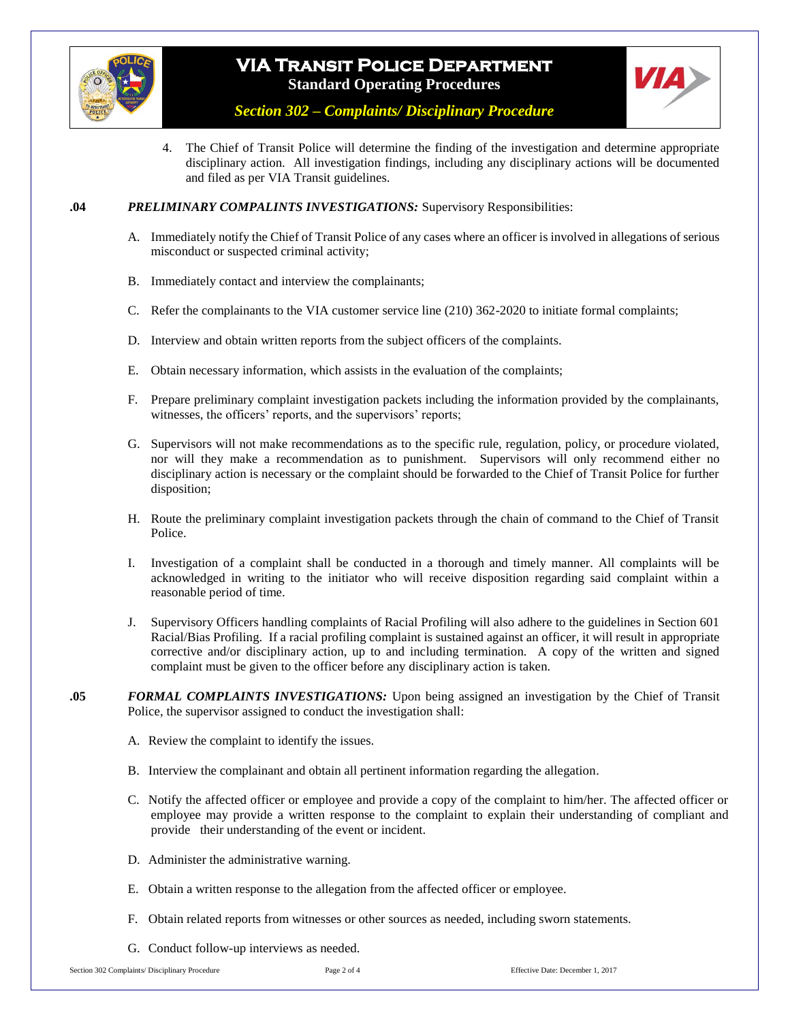

# **VIA Transit Police Department Standard Operating Procedures**



*Section 302 – Complaints/ Disciplinary Procedure*

4. The Chief of Transit Police will determine the finding of the investigation and determine appropriate disciplinary action. All investigation findings, including any disciplinary actions will be documented and filed as per VIA Transit guidelines.

#### **.04** *PRELIMINARY COMPALINTS INVESTIGATIONS:* Supervisory Responsibilities:

- A. Immediately notify the Chief of Transit Police of any cases where an officer is involved in allegations of serious misconduct or suspected criminal activity;
- B. Immediately contact and interview the complainants;
- C. Refer the complainants to the VIA customer service line (210) 362-2020 to initiate formal complaints;
- D. Interview and obtain written reports from the subject officers of the complaints.
- E. Obtain necessary information, which assists in the evaluation of the complaints;
- F. Prepare preliminary complaint investigation packets including the information provided by the complainants, witnesses, the officers' reports, and the supervisors' reports;
- G. Supervisors will not make recommendations as to the specific rule, regulation, policy, or procedure violated, nor will they make a recommendation as to punishment. Supervisors will only recommend either no disciplinary action is necessary or the complaint should be forwarded to the Chief of Transit Police for further disposition;
- H. Route the preliminary complaint investigation packets through the chain of command to the Chief of Transit Police.
- I. Investigation of a complaint shall be conducted in a thorough and timely manner. All complaints will be acknowledged in writing to the initiator who will receive disposition regarding said complaint within a reasonable period of time.
- J. Supervisory Officers handling complaints of Racial Profiling will also adhere to the guidelines in Section 601 Racial/Bias Profiling. If a racial profiling complaint is sustained against an officer, it will result in appropriate corrective and/or disciplinary action, up to and including termination. A copy of the written and signed complaint must be given to the officer before any disciplinary action is taken.
- **.05** *FORMAL COMPLAINTS INVESTIGATIONS:* Upon being assigned an investigation by the Chief of Transit Police, the supervisor assigned to conduct the investigation shall:
	- A. Review the complaint to identify the issues.
	- B. Interview the complainant and obtain all pertinent information regarding the allegation.
	- C. Notify the affected officer or employee and provide a copy of the complaint to him/her. The affected officer or employee may provide a written response to the complaint to explain their understanding of compliant and provide their understanding of the event or incident.
	- D. Administer the administrative warning.
	- E. Obtain a written response to the allegation from the affected officer or employee.
	- F. Obtain related reports from witnesses or other sources as needed, including sworn statements.
	- G. Conduct follow-up interviews as needed.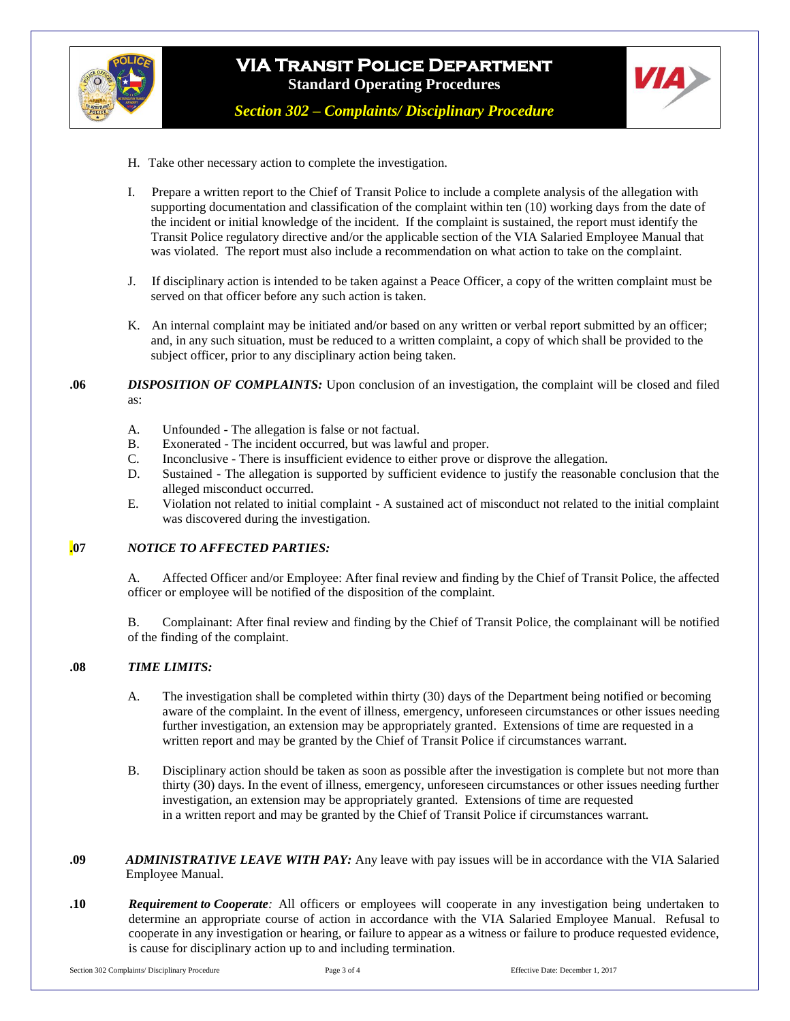

# **VIA Transit Police Department Standard Operating Procedures**

*Section 302 – Complaints/ Disciplinary Procedure*

**VIA** 

- H. Take other necessary action to complete the investigation.
- I. Prepare a written report to the Chief of Transit Police to include a complete analysis of the allegation with supporting documentation and classification of the complaint within ten (10) working days from the date of the incident or initial knowledge of the incident. If the complaint is sustained, the report must identify the Transit Police regulatory directive and/or the applicable section of the VIA Salaried Employee Manual that was violated. The report must also include a recommendation on what action to take on the complaint.
- J. If disciplinary action is intended to be taken against a Peace Officer, a copy of the written complaint must be served on that officer before any such action is taken.
- K. An internal complaint may be initiated and/or based on any written or verbal report submitted by an officer; and, in any such situation, must be reduced to a written complaint, a copy of which shall be provided to the subject officer, prior to any disciplinary action being taken.

**.06** *DISPOSITION OF COMPLAINTS:* Upon conclusion of an investigation, the complaint will be closed and filed as:

- A. Unfounded The allegation is false or not factual.
- B. Exonerated The incident occurred, but was lawful and proper.
- C. Inconclusive There is insufficient evidence to either prove or disprove the allegation.
- D. Sustained The allegation is supported by sufficient evidence to justify the reasonable conclusion that the alleged misconduct occurred.
- E. Violation not related to initial complaint A sustained act of misconduct not related to the initial complaint was discovered during the investigation.

#### **.07** *NOTICE TO AFFECTED PARTIES:*

A. Affected Officer and/or Employee: After final review and finding by the Chief of Transit Police, the affected officer or employee will be notified of the disposition of the complaint.

B. Complainant: After final review and finding by the Chief of Transit Police, the complainant will be notified of the finding of the complaint.

#### **.08** *TIME LIMITS:*

- A. The investigation shall be completed within thirty (30) days of the Department being notified or becoming aware of the complaint. In the event of illness, emergency, unforeseen circumstances or other issues needing further investigation, an extension may be appropriately granted.Extensions of time are requested in a written report and may be granted by the Chief of Transit Police if circumstances warrant.
- B. Disciplinary action should be taken as soon as possible after the investigation is complete but not more than thirty (30) days. In the event of illness, emergency, unforeseen circumstances or other issues needing further investigation, an extension may be appropriately granted.Extensions of time are requested in a written report and may be granted by the Chief of Transit Police if circumstances warrant.
- **.09** *ADMINISTRATIVE LEAVE WITH PAY:* Any leave with pay issues will be in accordance with the VIA Salaried Employee Manual.
- **.10** *Requirement to Cooperate:* All officers or employees will cooperate in any investigation being undertaken to determine an appropriate course of action in accordance with the VIA Salaried Employee Manual. Refusal to cooperate in any investigation or hearing, or failure to appear as a witness or failure to produce requested evidence, is cause for disciplinary action up to and including termination.